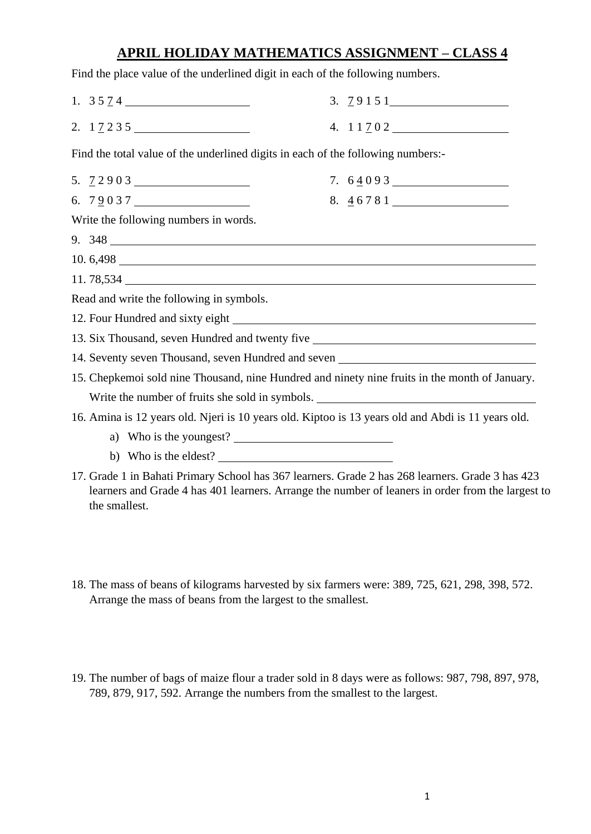## **APRIL HOLIDAY MATHEMATICS ASSIGNMENT – CLASS 4**

Find the place value of the underlined digit in each of the following numbers.

1. 3 5 7 4 2. 1 7 2 3 5 3. 7 9 1 5 1 4. 1 1 7 0 2

Find the total value of the underlined digits in each of the following numbers:-

| Write the following numbers in words.                                                              |  |
|----------------------------------------------------------------------------------------------------|--|
|                                                                                                    |  |
| 10. 6,498                                                                                          |  |
|                                                                                                    |  |
| Read and write the following in symbols.                                                           |  |
|                                                                                                    |  |
| 13. Six Thousand, seven Hundred and twenty five ________________________________                   |  |
| 14. Seventy seven Thousand, seven Hundred and seven ____________________________                   |  |
| 15. Chepkemoi sold nine Thousand, nine Hundred and ninety nine fruits in the month of January.     |  |
| Write the number of fruits she sold in symbols.                                                    |  |
| 16. Amina is 12 years old. Njeri is 10 years old. Kiptoo is 13 years old and Abdi is 11 years old. |  |
| a) Who is the youngest?                                                                            |  |
|                                                                                                    |  |

- b) Who is the eldest?
- 17. Grade 1 in Bahati Primary School has 367 learners. Grade 2 has 268 learners. Grade 3 has 423 learners and Grade 4 has 401 learners. Arrange the number of leaners in order from the largest to the smallest.
- 18. The mass of beans of kilograms harvested by six farmers were: 389, 725, 621, 298, 398, 572. Arrange the mass of beans from the largest to the smallest.
- 19. The number of bags of maize flour a trader sold in 8 days were as follows: 987, 798, 897, 978, 789, 879, 917, 592. Arrange the numbers from the smallest to the largest.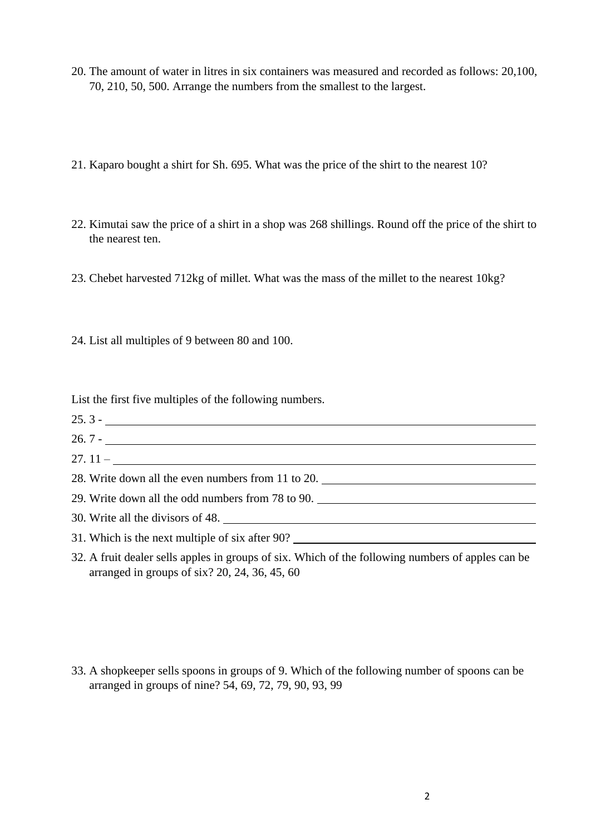- 20. The amount of water in litres in six containers was measured and recorded as follows: 20,100, 70, 210, 50, 500. Arrange the numbers from the smallest to the largest.
- 21. Kaparo bought a shirt for Sh. 695. What was the price of the shirt to the nearest 10?
- 22. Kimutai saw the price of a shirt in a shop was 268 shillings. Round off the price of the shirt to the nearest ten.
- 23. Chebet harvested 712kg of millet. What was the mass of the millet to the nearest 10kg?
- 24. List all multiples of 9 between 80 and 100.

List the first five multiples of the following numbers.

- 25. 3 -
- 26. 7 -
- $27.11 -$
- 28. Write down all the even numbers from 11 to 20.
- 29. Write down all the odd numbers from 78 to 90.
- 30. Write all the divisors of 48.
- 31. Which is the next multiple of six after 90?
- 32. A fruit dealer sells apples in groups of six. Which of the following numbers of apples can be arranged in groups of six? 20, 24, 36, 45, 60

33. A shopkeeper sells spoons in groups of 9. Which of the following number of spoons can be arranged in groups of nine? 54, 69, 72, 79, 90, 93, 99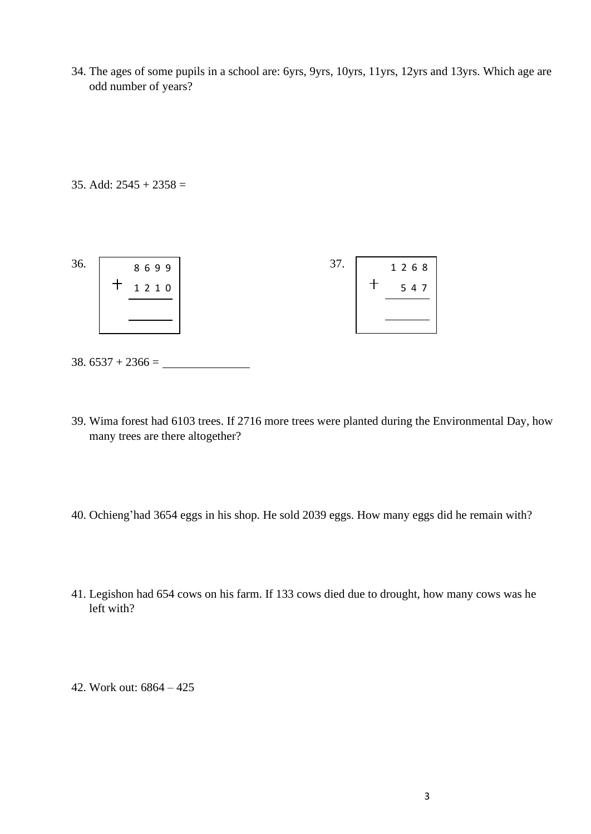34. The ages of some pupils in a school are: 6yrs, 9yrs, 10yrs, 11yrs, 12yrs and 13yrs. Which age are odd number of years?

35. Add:  $2545 + 2358 =$ 

| 36. | 8699    | 37. | 1 2 6 8 |
|-----|---------|-----|---------|
|     | 1 2 1 0 |     | 5 4 7   |
|     |         |     |         |
|     |         |     |         |

- $38.6537 + 2366 =$
- 39. Wima forest had 6103 trees. If 2716 more trees were planted during the Environmental Day, how many trees are there altogether?
- 40. Ochieng'had 3654 eggs in his shop. He sold 2039 eggs. How many eggs did he remain with?
- 41. Legishon had 654 cows on his farm. If 133 cows died due to drought, how many cows was he left with?
- 42. Work out: 6864 425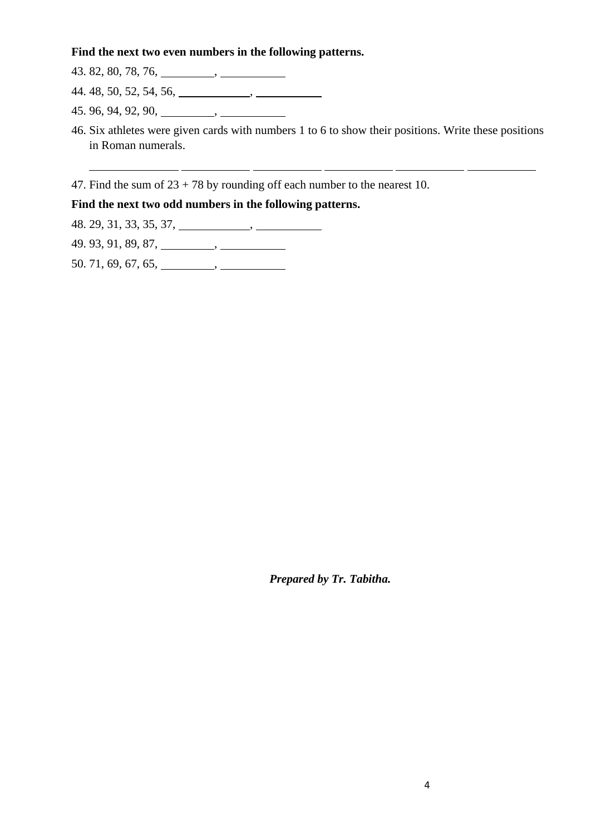#### **Find the next two even numbers in the following patterns.**

 $43.82, 80, 78, 76, \underline{\hspace{1cm}}$ 

44. 48, 50, 52, 54, 56, ,

45. 96, 94, 92, 90, ,

46. Six athletes were given cards with numbers 1 to 6 to show their positions. Write these positions in Roman numerals.

47. Find the sum of  $23 + 78$  by rounding off each number to the nearest 10.

#### **Find the next two odd numbers in the following patterns.**

48. 29, 31, 33, 35, 37, ,

49. 93, 91, 89, 87, ,

 $50.71, 69, 67, 65, \underline{\hspace{1cm}}$ 

*Prepared by Tr. Tabitha.*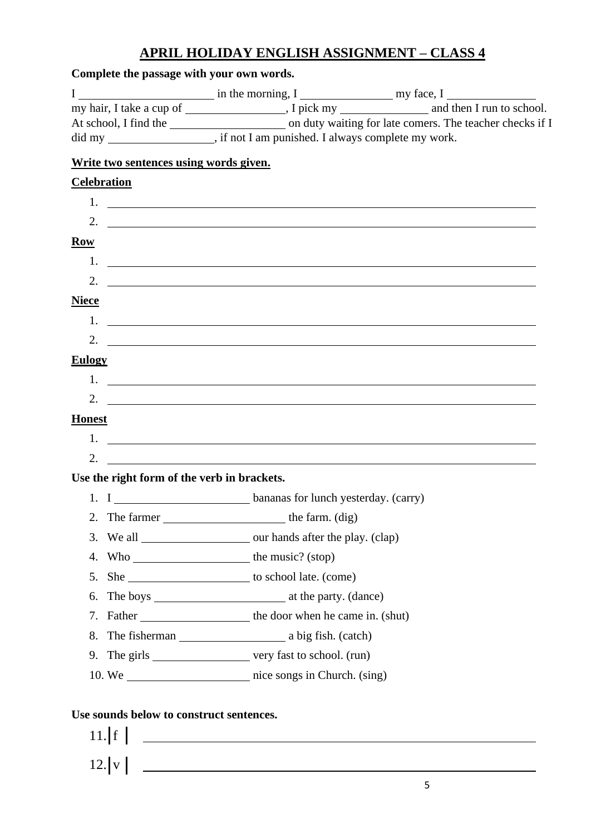# **APRIL HOLIDAY ENGLISH ASSIGNMENT – CLASS 4**

|                                             | did my ________________________, if not I am punished. I always complete my work.                                                                                                                                                                                                                                      |  |
|---------------------------------------------|------------------------------------------------------------------------------------------------------------------------------------------------------------------------------------------------------------------------------------------------------------------------------------------------------------------------|--|
| Write two sentences using words given.      |                                                                                                                                                                                                                                                                                                                        |  |
| <b>Celebration</b>                          |                                                                                                                                                                                                                                                                                                                        |  |
|                                             |                                                                                                                                                                                                                                                                                                                        |  |
|                                             | 2. $\qquad \qquad$                                                                                                                                                                                                                                                                                                     |  |
| $\overline{\textbf{Row}}$                   |                                                                                                                                                                                                                                                                                                                        |  |
|                                             |                                                                                                                                                                                                                                                                                                                        |  |
| 2.                                          | <u> 1989 - Andrea Barbara, amerikana amerikana amerikana amerikana amerikana amerikana amerikana amerikana amerika</u>                                                                                                                                                                                                 |  |
| <b>Niece</b>                                |                                                                                                                                                                                                                                                                                                                        |  |
|                                             | 1.                                                                                                                                                                                                                                                                                                                     |  |
|                                             | 2. $\frac{1}{2}$ $\frac{1}{2}$ $\frac{1}{2}$ $\frac{1}{2}$ $\frac{1}{2}$ $\frac{1}{2}$ $\frac{1}{2}$ $\frac{1}{2}$ $\frac{1}{2}$ $\frac{1}{2}$ $\frac{1}{2}$ $\frac{1}{2}$ $\frac{1}{2}$ $\frac{1}{2}$ $\frac{1}{2}$ $\frac{1}{2}$ $\frac{1}{2}$ $\frac{1}{2}$ $\frac{1}{2}$ $\frac{1}{2}$ $\frac{1}{2}$ $\frac{1}{2}$ |  |
| <b>Eulogy</b>                               |                                                                                                                                                                                                                                                                                                                        |  |
|                                             | $1.$ $\frac{1}{2}$ $\frac{1}{2}$ $\frac{1}{2}$ $\frac{1}{2}$ $\frac{1}{2}$ $\frac{1}{2}$ $\frac{1}{2}$ $\frac{1}{2}$ $\frac{1}{2}$ $\frac{1}{2}$ $\frac{1}{2}$ $\frac{1}{2}$ $\frac{1}{2}$ $\frac{1}{2}$ $\frac{1}{2}$ $\frac{1}{2}$ $\frac{1}{2}$ $\frac{1}{2}$ $\frac{1}{2}$ $\frac{1}{2}$ $\frac{1}{2}$ $\frac{1}{$ |  |
|                                             | 2. $\frac{1}{2}$ $\frac{1}{2}$ $\frac{1}{2}$ $\frac{1}{2}$ $\frac{1}{2}$ $\frac{1}{2}$ $\frac{1}{2}$ $\frac{1}{2}$ $\frac{1}{2}$ $\frac{1}{2}$ $\frac{1}{2}$ $\frac{1}{2}$ $\frac{1}{2}$ $\frac{1}{2}$ $\frac{1}{2}$ $\frac{1}{2}$ $\frac{1}{2}$ $\frac{1}{2}$ $\frac{1}{2}$ $\frac{1}{2}$ $\frac{1}{2}$ $\frac{1}{2}$ |  |
| <b>Honest</b>                               |                                                                                                                                                                                                                                                                                                                        |  |
|                                             |                                                                                                                                                                                                                                                                                                                        |  |
| 2.                                          |                                                                                                                                                                                                                                                                                                                        |  |
| Use the right form of the verb in brackets. |                                                                                                                                                                                                                                                                                                                        |  |
|                                             |                                                                                                                                                                                                                                                                                                                        |  |
| 2.                                          |                                                                                                                                                                                                                                                                                                                        |  |
| 3.                                          |                                                                                                                                                                                                                                                                                                                        |  |
| 4.                                          |                                                                                                                                                                                                                                                                                                                        |  |
| 5.                                          |                                                                                                                                                                                                                                                                                                                        |  |
| 6.                                          |                                                                                                                                                                                                                                                                                                                        |  |
| 7.                                          |                                                                                                                                                                                                                                                                                                                        |  |
| 8.                                          |                                                                                                                                                                                                                                                                                                                        |  |
|                                             | 9. The girls ________________________ very fast to school. (run)                                                                                                                                                                                                                                                       |  |
|                                             |                                                                                                                                                                                                                                                                                                                        |  |

 $11.$  f  $12. |v|$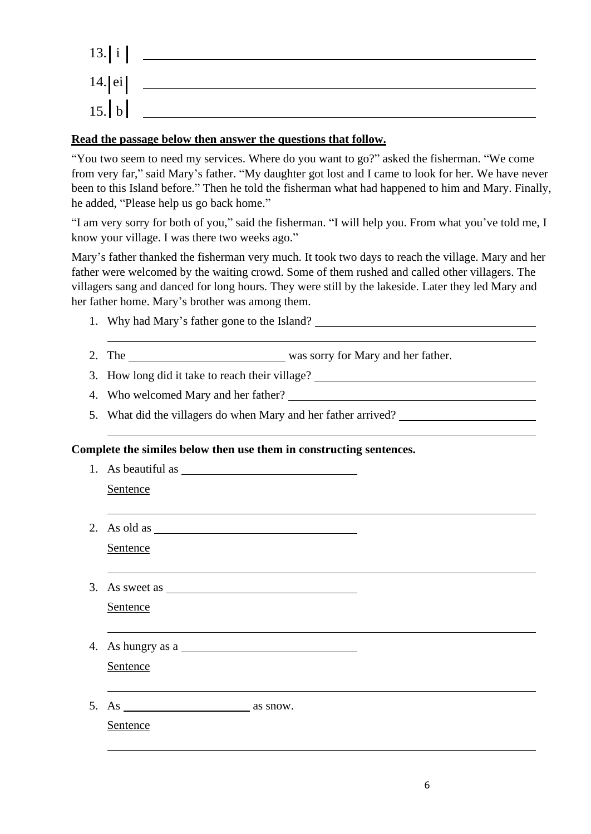| 13. i   |  |
|---------|--|
| 14. ei  |  |
| $15.$ b |  |

#### **Read the passage below then answer the questions that follow.**

"You two seem to need my services. Where do you want to go?" asked the fisherman. "We come from very far," said Mary's father. "My daughter got lost and I came to look for her. We have never been to this Island before." Then he told the fisherman what had happened to him and Mary. Finally, he added, "Please help us go back home."

"I am very sorry for both of you," said the fisherman. "I will help you. From what you've told me, I know your village. I was there two weeks ago."

Mary's father thanked the fisherman very much. It took two days to reach the village. Mary and her father were welcomed by the waiting crowd. Some of them rushed and called other villagers. The villagers sang and danced for long hours. They were still by the lakeside. Later they led Mary and her father home. Mary's brother was among them.

- 1. Why had Mary's father gone to the Island?
- 2. The was sorry for Mary and her father.
- 3. How long did it take to reach their village?
- 4. Who welcomed Mary and her father?

1. As beautiful as

5. What did the villagers do when Mary and her father arrived?

#### **Complete the similes below then use them in constructing sentences.**

| Sentence                                             |  |
|------------------------------------------------------|--|
| 2. As old as $\overline{\qquad \qquad }$<br>Sentence |  |
| 3. As sweet as $\overline{\phantom{a}}$<br>Sentence  |  |
| 4. As hungry as a<br>Sentence                        |  |
| Sentence                                             |  |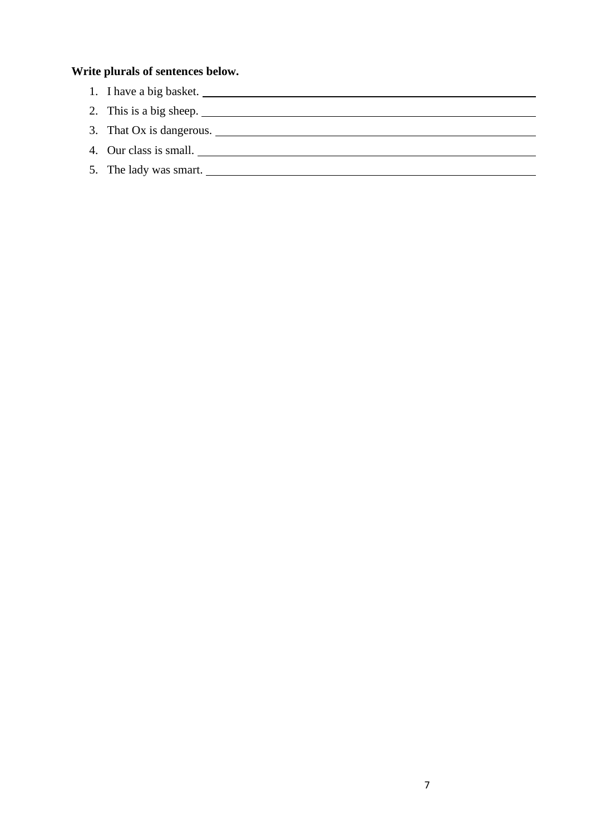### **Write plurals of sentences below.**

- 1. I have a big basket.
- 2. This is a big sheep.
- 3. That Ox is dangerous.
- 4. Our class is small.
- 5. The lady was smart.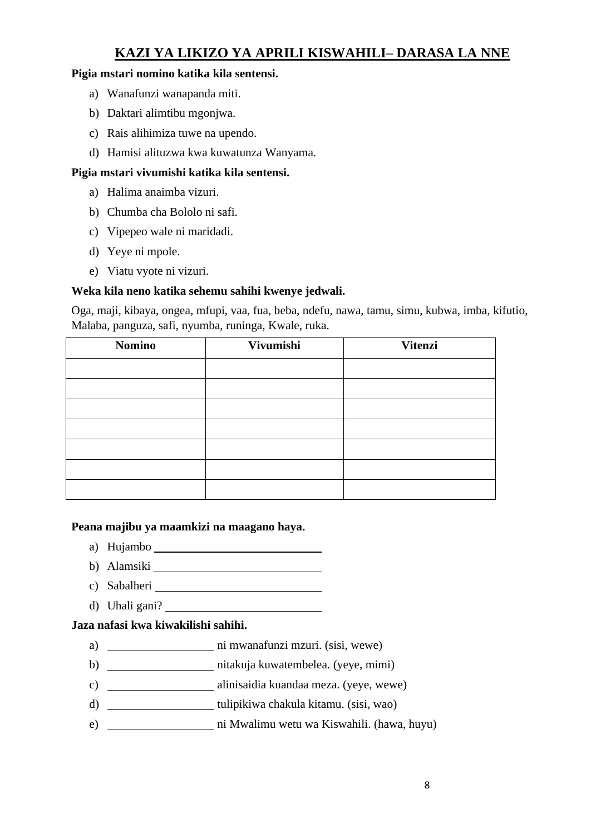## **KAZI YA LIKIZO YA APRILI KISWAHILI– DARASA LA NNE**

#### **Pigia mstari nomino katika kila sentensi.**

- a) Wanafunzi wanapanda miti.
- b) Daktari alimtibu mgonjwa.
- c) Rais alihimiza tuwe na upendo.
- d) Hamisi alituzwa kwa kuwatunza Wanyama.

#### **Pigia mstari vivumishi katika kila sentensi.**

- a) Halima anaimba vizuri.
- b) Chumba cha Bololo ni safi.
- c) Vipepeo wale ni maridadi.
- d) Yeye ni mpole.
- e) Viatu vyote ni vizuri.

#### **Weka kila neno katika sehemu sahihi kwenye jedwali.**

Oga, maji, kibaya, ongea, mfupi, vaa, fua, beba, ndefu, nawa, tamu, simu, kubwa, imba, kifutio, Malaba, panguza, safi, nyumba, runinga, Kwale, ruka.

| <b>Nomino</b> | Vivumishi | <b>Vitenzi</b> |
|---------------|-----------|----------------|
|               |           |                |
|               |           |                |
|               |           |                |
|               |           |                |
|               |           |                |
|               |           |                |
|               |           |                |

#### **Peana majibu ya maamkizi na maagano haya.**

- a) Hujambo
- b) Alamsiki
- c) Sabalheri
- d) Uhali gani?

#### **Jaza nafasi kwa kiwakilishi sahihi.**

- a) ni mwanafunzi mzuri. (sisi, wewe)
- b) nitakuja kuwatembelea. (yeye, mimi)
- c) alinisaidia kuandaa meza. (yeye, wewe)
- d) \_\_\_\_\_\_\_\_\_\_\_\_\_\_\_\_\_\_\_\_\_\_\_tulipikiwa chakula kitamu. (sisi, wao)
- e) ni Mwalimu wetu wa Kiswahili. (hawa, huyu)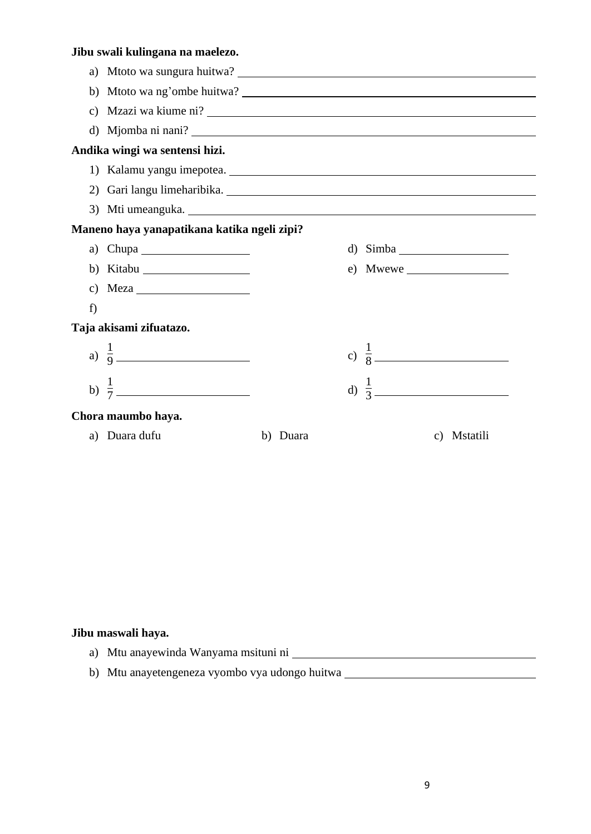## **Jibu swali kulingana na maelezo.**

|    | c) Mzazi wa kiume ni?                                                                                                                                                                                                                                                                                                                                                                                       |             |                  |             |
|----|-------------------------------------------------------------------------------------------------------------------------------------------------------------------------------------------------------------------------------------------------------------------------------------------------------------------------------------------------------------------------------------------------------------|-------------|------------------|-------------|
|    | d) Mjomba ni nani?                                                                                                                                                                                                                                                                                                                                                                                          |             |                  |             |
|    | Andika wingi wa sentensi hizi.                                                                                                                                                                                                                                                                                                                                                                              |             |                  |             |
|    |                                                                                                                                                                                                                                                                                                                                                                                                             |             |                  |             |
|    | 2) Gari langu limeharibika.                                                                                                                                                                                                                                                                                                                                                                                 |             |                  |             |
|    | 3) Mti umeanguka.                                                                                                                                                                                                                                                                                                                                                                                           |             |                  |             |
|    | Maneno haya yanapatikana katika ngeli zipi?                                                                                                                                                                                                                                                                                                                                                                 |             |                  |             |
|    | a) Chupa $\frac{1}{\sqrt{1-\frac{1}{2}}\sqrt{1-\frac{1}{2}}\sqrt{1-\frac{1}{2}}\sqrt{1-\frac{1}{2}}\sqrt{1-\frac{1}{2}}\sqrt{1-\frac{1}{2}}\sqrt{1-\frac{1}{2}}\sqrt{1-\frac{1}{2}}\sqrt{1-\frac{1}{2}}\sqrt{1-\frac{1}{2}}\sqrt{1-\frac{1}{2}}\sqrt{1-\frac{1}{2}}\sqrt{1-\frac{1}{2}}\sqrt{1-\frac{1}{2}}\sqrt{1-\frac{1}{2}}\sqrt{1-\frac{1}{2}}\sqrt{1-\frac{1}{2}}\sqrt{1-\frac{1}{2}}\sqrt{1-\frac{1$ |             |                  |             |
|    | b) Kitabu $\frac{1}{\sqrt{1-\frac{1}{2}}\sqrt{1-\frac{1}{2}}\left(\frac{1}{2}-\frac{1}{2}\right)}$                                                                                                                                                                                                                                                                                                          |             | $e)$ Mwewe       |             |
|    | c) Meza $\_\_$                                                                                                                                                                                                                                                                                                                                                                                              |             |                  |             |
| f) |                                                                                                                                                                                                                                                                                                                                                                                                             |             |                  |             |
|    | Taja akisami zifuatazo.                                                                                                                                                                                                                                                                                                                                                                                     |             |                  |             |
|    | a) $\frac{1}{9}$                                                                                                                                                                                                                                                                                                                                                                                            |             | c) $\frac{1}{8}$ |             |
|    |                                                                                                                                                                                                                                                                                                                                                                                                             |             |                  |             |
|    | Chora maumbo haya.                                                                                                                                                                                                                                                                                                                                                                                          |             |                  |             |
|    | a) Duara dufu                                                                                                                                                                                                                                                                                                                                                                                               | Duara<br>b) |                  | c) Mstatili |

#### **Jibu maswali haya.**

- a) Mtu anayewinda Wanyama msituni ni **waxaa markaa markaa waxaa markaa markaa markaa markaa markaa markaa marka**
- b) Mtu anayetengeneza vyombo vya udongo huitwa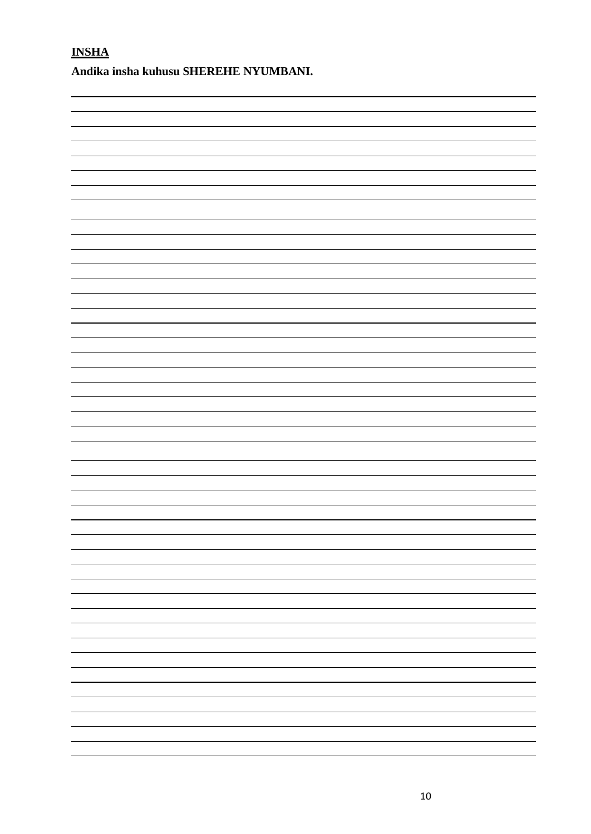**INSHA** 

**Andika insha kuhusu SHEREHE NYUMBANI.**

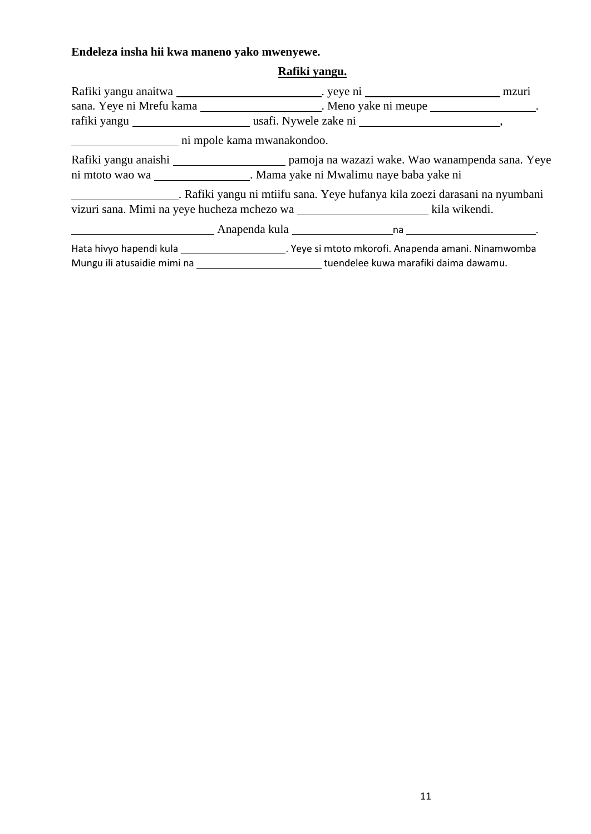## **Endeleza insha hii kwa maneno yako mwenyewe.**

## **Rafiki yangu.**

| sana. Yeye ni Mrefu kama ______________________. Meno yake ni meupe _________________.        |  |
|-----------------------------------------------------------------------------------------------|--|
|                                                                                               |  |
| ni mpole kama mwanakondoo.                                                                    |  |
|                                                                                               |  |
| ni mtoto wao wa ___________________. Mama yake ni Mwalimu naye baba yake ni                   |  |
| . Rafiki yangu ni mtiifu sana. Yeye hufanya kila zoezi darasani na nyumbani                   |  |
|                                                                                               |  |
|                                                                                               |  |
|                                                                                               |  |
| Mungu ili atusaidie mimi na ____________________________tuendelee kuwa marafiki daima dawamu. |  |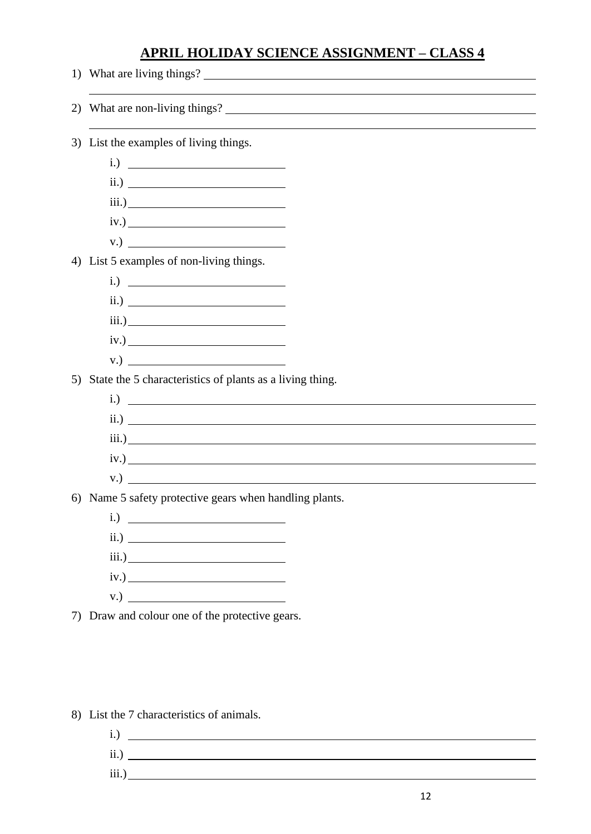## **APRIL HOLIDAY SCIENCE ASSIGNMENT – CLASS 4**

- 1) What are living things? 2) What are non-living things? 3) List the examples of living things. i.) ii.) iii.) iv.) v.) 4) List 5 examples of non-living things. i.) ii.) iii.) iv.) v.) 5) State the 5 characteristics of plants as a living thing. i.) ii.) iii.) iv.) v.) 6) Name 5 safety protective gears when handling plants. i.) ii.) iii.) iv.) v.) 7) Draw and colour one of the protective gears.
	- 8) List the 7 characteristics of animals.
		- i.) ii.) iii.)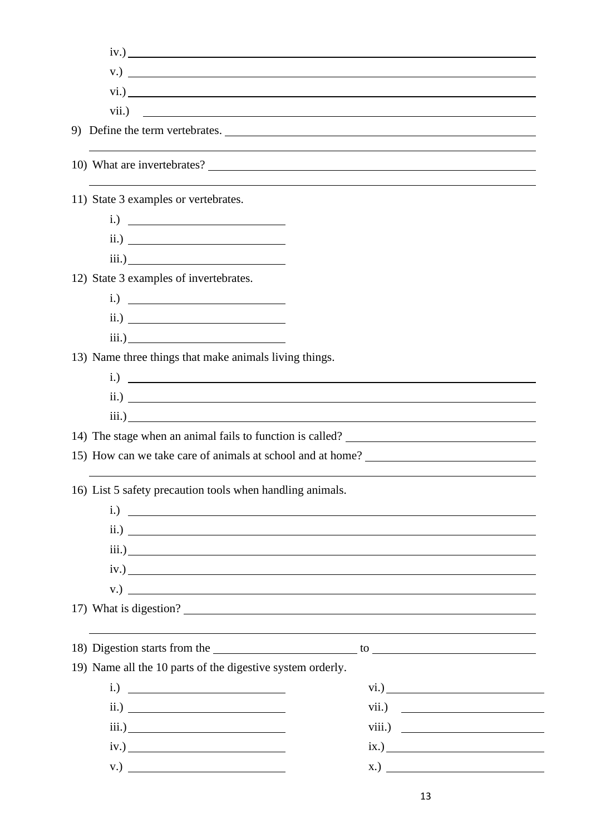|                                                            | iv.)                                                       |
|------------------------------------------------------------|------------------------------------------------------------|
| $V.$ ) $\qquad \qquad$                                     |                                                            |
|                                                            |                                                            |
|                                                            |                                                            |
|                                                            |                                                            |
|                                                            |                                                            |
| 11) State 3 examples or vertebrates.                       |                                                            |
| $i.) \n\qquad \qquad \qquad$                               |                                                            |
| $\overline{\text{ii.}}$                                    |                                                            |
|                                                            |                                                            |
| 12) State 3 examples of invertebrates.                     |                                                            |
| $i.) \n\qquad \qquad \qquad$                               |                                                            |
| $\qquad \qquad \text{ii.)}$                                |                                                            |
|                                                            |                                                            |
| 13) Name three things that make animals living things.     |                                                            |
|                                                            | $i.)$ $\overline{\phantom{a}}$                             |
|                                                            | $\overline{\text{ii.}}$                                    |
|                                                            | $\overline{\text{iii.}}$                                   |
|                                                            |                                                            |
|                                                            | 15) How can we take care of animals at school and at home? |
| 16) List 5 safety precaution tools when handling animals.  |                                                            |
|                                                            |                                                            |
| i.)                                                        |                                                            |
|                                                            |                                                            |
|                                                            | $\qquad \qquad \text{ii.)}$                                |
|                                                            |                                                            |
| iv.)                                                       |                                                            |
|                                                            | $V.$ ) $\qquad \qquad$<br>17) What is digestion?           |
|                                                            |                                                            |
| 19) Name all the 10 parts of the digestive system orderly. |                                                            |
| $i.) \t$                                                   |                                                            |
| $\qquad \qquad \text{ii.)}$                                |                                                            |
|                                                            |                                                            |
|                                                            | vii.) $\qquad \qquad$<br>$\overline{\text{ix.}}$           |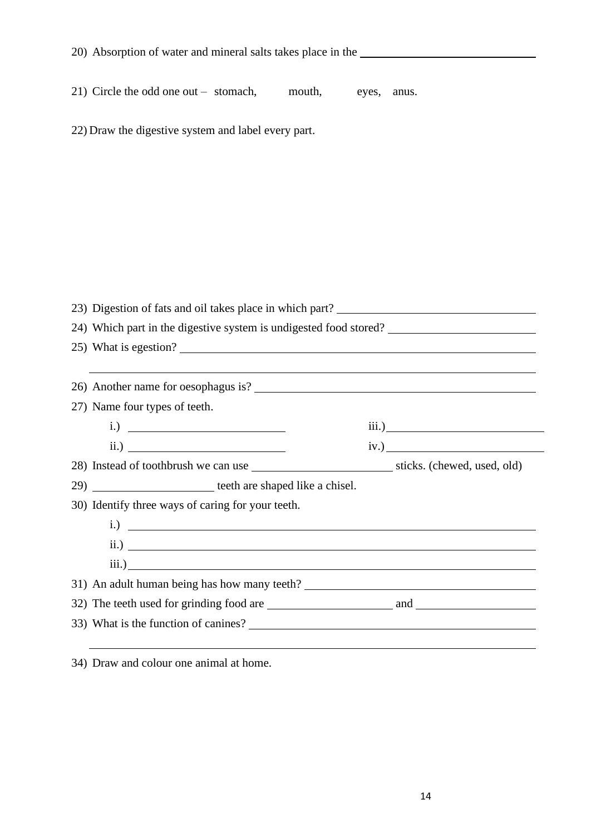| 20) Absorption of water and mineral salts takes place in the      |       |
|-------------------------------------------------------------------|-------|
| 21) Circle the odd one out – stomach, mouth, eyes,                |       |
|                                                                   | anus. |
| 22) Draw the digestive system and label every part.               |       |
|                                                                   |       |
|                                                                   |       |
|                                                                   |       |
|                                                                   |       |
|                                                                   |       |
|                                                                   |       |
|                                                                   |       |
|                                                                   |       |
| 24) Which part in the digestive system is undigested food stored? |       |
| 25) What is egestion?                                             |       |
| <u> 1989 - Johann Stoff, amerikansk politiker (* 1908)</u>        |       |
|                                                                   |       |
| 27) Name four types of teeth.                                     |       |
|                                                                   |       |
| $\qquad \qquad \text{ii.)}$                                       |       |
|                                                                   |       |
| 29) __________________________ teeth are shaped like a chisel.    |       |
| 30) Identify three ways of caring for your teeth.                 |       |
|                                                                   |       |
| $\overline{\text{ii.}}$                                           |       |
|                                                                   |       |
|                                                                   |       |
|                                                                   |       |
|                                                                   |       |
|                                                                   |       |

34) Draw and colour one animal at home.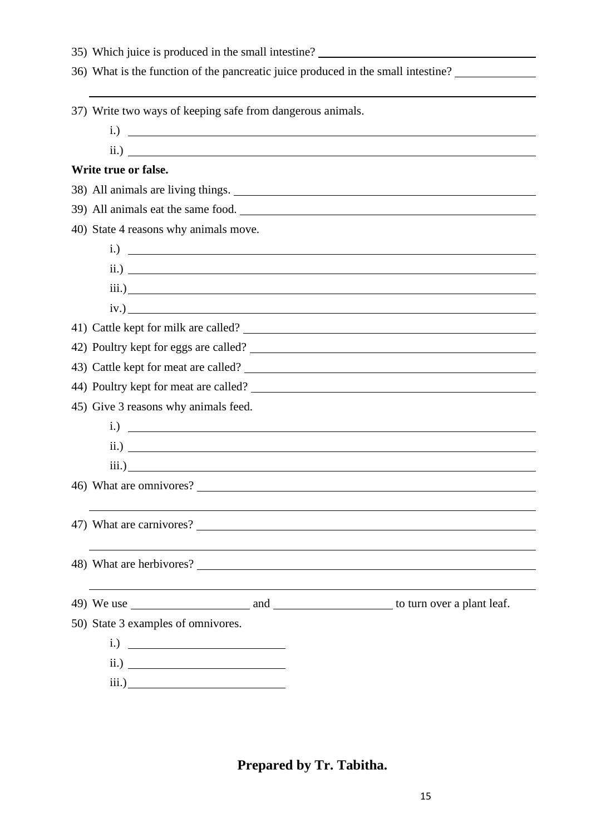| 35) Which juice is produced in the small intestine?                               |
|-----------------------------------------------------------------------------------|
| 36) What is the function of the pancreatic juice produced in the small intestine? |
|                                                                                   |
| 37) Write two ways of keeping safe from dangerous animals.                        |
|                                                                                   |
|                                                                                   |
| Write true or false.                                                              |
| 38) All animals are living things.                                                |
| 39) All animals eat the same food.                                                |
| 40) State 4 reasons why animals move.                                             |
| $i.) \n\overline{\phantom{iiiiiiiiiiiii}}$                                        |
|                                                                                   |
|                                                                                   |
| iv.)                                                                              |
|                                                                                   |
|                                                                                   |
|                                                                                   |
| 44) Poultry kept for meat are called?                                             |
| 45) Give 3 reasons why animals feed.                                              |
| $i)$ $\overline{\phantom{a}}$                                                     |
|                                                                                   |
|                                                                                   |
| 46) What are omnivores?                                                           |
|                                                                                   |
| 47) What are carnivores?                                                          |
|                                                                                   |
|                                                                                   |
|                                                                                   |
|                                                                                   |
| 50) State 3 examples of omnivores.                                                |
|                                                                                   |
| $\qquad \qquad \text{ii.)}$                                                       |
|                                                                                   |

**Prepared by Tr. Tabitha.**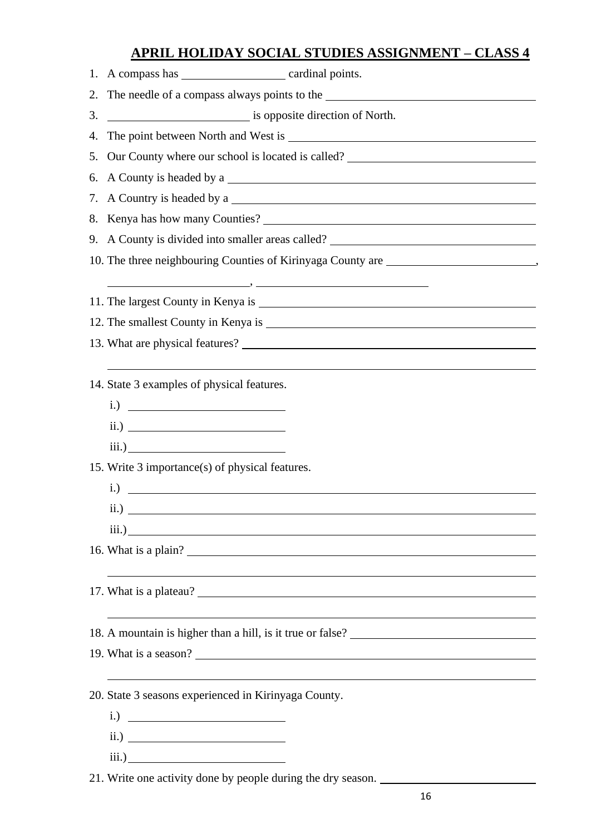# **APRIL HOLIDAY SOCIAL STUDIES ASSIGNMENT – CLASS 4**

| 2. The needle of a compass always points to the _________________________________ |
|-----------------------------------------------------------------------------------|
|                                                                                   |
|                                                                                   |
| 5. Our County where our school is located is called? ___________________________  |
|                                                                                   |
|                                                                                   |
|                                                                                   |
| 9. A County is divided into smaller areas called? ______________________________  |
| 10. The three neighbouring Counties of Kirinyaga County are _____________________ |
|                                                                                   |
|                                                                                   |
|                                                                                   |
|                                                                                   |
|                                                                                   |
| 14. State 3 examples of physical features.                                        |
| $i.) \t$                                                                          |
|                                                                                   |
|                                                                                   |
| 15. Write 3 importance(s) of physical features.                                   |
|                                                                                   |
| $\qquad \qquad \text{ii.)}$                                                       |
|                                                                                   |
| 16. What is a plain?                                                              |
|                                                                                   |
|                                                                                   |
|                                                                                   |
|                                                                                   |
| 19. What is a season?                                                             |
| ,我们也不会有什么。""我们的人,我们也不会有什么?""我们的人,我们也不会有什么?""我们的人,我们也不会有什么?""我们的人,我们也不会有什么?""我们的人  |
| 20. State 3 seasons experienced in Kirinyaga County.                              |
| $i.) \n\qquad \qquad \qquad$                                                      |
| $\qquad \qquad \text{ii.)}$                                                       |
|                                                                                   |

21. Write one activity done by people during the dry season.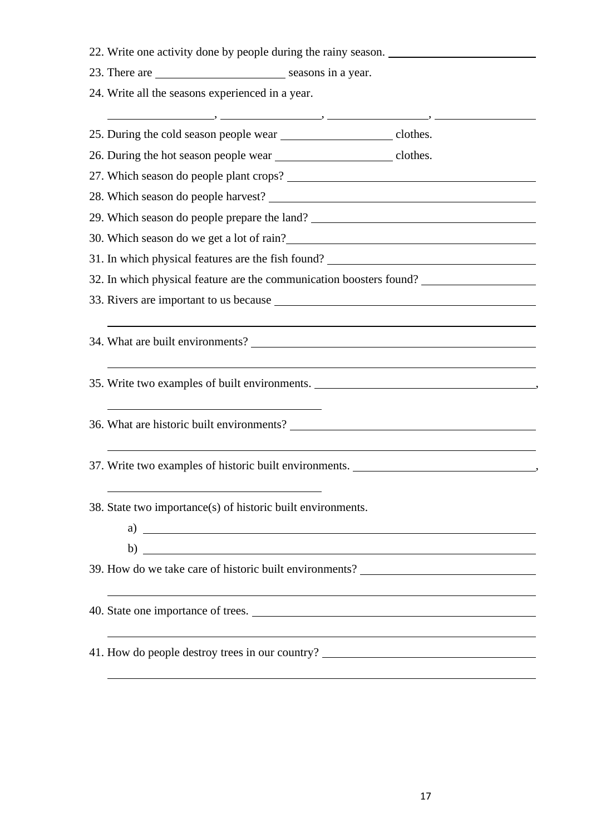|  | 22. Write one activity done by people during the rainy season. |  |  |  |  |  |  |  |
|--|----------------------------------------------------------------|--|--|--|--|--|--|--|
|--|----------------------------------------------------------------|--|--|--|--|--|--|--|

23. There are seasons in a year.

24. Write all the seasons experienced in a year.

, , , 25. During the cold season people wear clothes. 26. During the hot season people wear clothes. 27. Which season do people plant crops? 28. Which season do people harvest? 29. Which season do people prepare the land? 30. Which season do we get a lot of rain? 31. In which physical features are the fish found? 32. In which physical feature are the communication boosters found? 33. Rivers are important to us because 34. What are built environments? 35. Write two examples of built environments. , 36. What are historic built environments? 37. Write two examples of historic built environments. , 38. State two importance(s) of historic built environments. a) b) 39. How do we take care of historic built environments? 40. State one importance of trees. 41. How do people destroy trees in our country?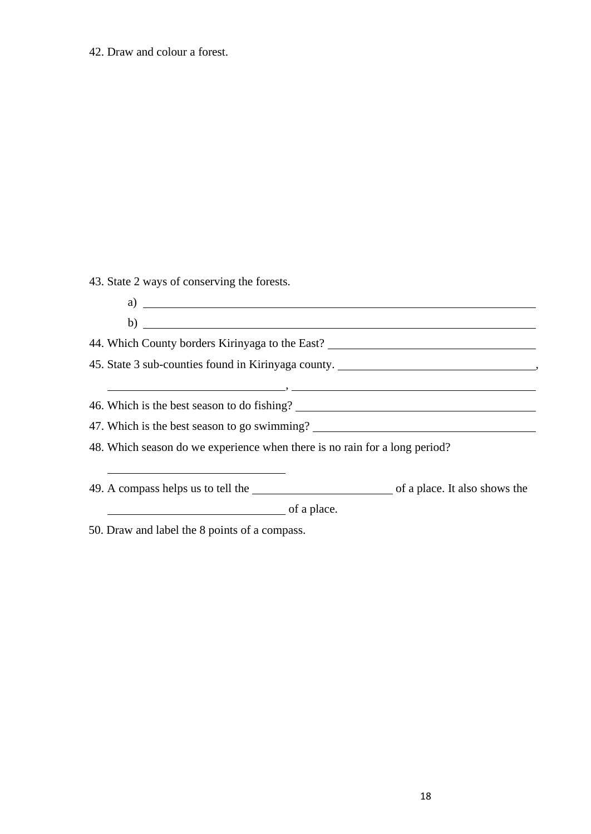## 42. Draw and colour a forest.

43. State 2 ways of conserving the forests.

| $\alpha$ ) $\qquad \qquad$                                                       |                                                                                                                                                                                                                                                                                                   |  |  |
|----------------------------------------------------------------------------------|---------------------------------------------------------------------------------------------------------------------------------------------------------------------------------------------------------------------------------------------------------------------------------------------------|--|--|
|                                                                                  | $\mathbf{b)}$ and $\mathbf{b}$ and $\mathbf{b}$ and $\mathbf{b}$ and $\mathbf{b}$ and $\mathbf{b}$ and $\mathbf{b}$ and $\mathbf{b}$ and $\mathbf{b}$ and $\mathbf{b}$ and $\mathbf{b}$ and $\mathbf{b}$ and $\mathbf{b}$ and $\mathbf{b}$ and $\mathbf{b}$ and $\mathbf{b}$ and $\mathbf{b}$ and |  |  |
|                                                                                  | 44. Which County borders Kirinyaga to the East? ________________________________                                                                                                                                                                                                                  |  |  |
|                                                                                  | 45. State 3 sub-counties found in Kirinyaga county. _____________________________                                                                                                                                                                                                                 |  |  |
|                                                                                  | $\overline{\phantom{a}}$ , and the contract of the contract of the contract of the contract of the contract of the contract of the contract of the contract of the contract of the contract of the contract of the contract of the contrac                                                        |  |  |
|                                                                                  |                                                                                                                                                                                                                                                                                                   |  |  |
| 47. Which is the best season to go swimming? ___________________________________ |                                                                                                                                                                                                                                                                                                   |  |  |
| 48. Which season do we experience when there is no rain for a long period?       |                                                                                                                                                                                                                                                                                                   |  |  |
|                                                                                  |                                                                                                                                                                                                                                                                                                   |  |  |
|                                                                                  | 49. A compass helps us to tell the order of a place. It also shows the                                                                                                                                                                                                                            |  |  |
| $\overline{\phantom{a}}$ of a place.                                             |                                                                                                                                                                                                                                                                                                   |  |  |

50. Draw and label the 8 points of a compass.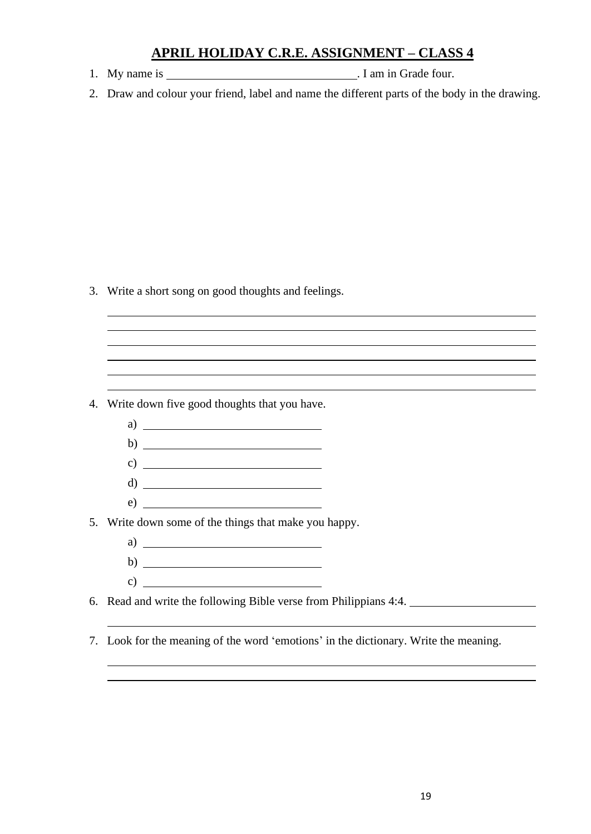## **APRIL HOLIDAY C.R.E. ASSIGNMENT – CLASS 4**

- 1. My name is . I am in Grade four.
- 2. Draw and colour your friend, label and name the different parts of the body in the drawing.

<u> 1989 - Johann Stoff, deutscher Stoffen und der Stoffen und der Stoffen und der Stoffen und der Stoffen und d</u>

3. Write a short song on good thoughts and feelings.

4. Write down five good thoughts that you have.

- a)
- b)
- c)  $\overline{\phantom{a}}$
- d)
- e)

5. Write down some of the things that make you happy.

- a)  $\overline{\phantom{a}}$
- b) c)

6. Read and write the following Bible verse from Philippians 4:4.

7. Look for the meaning of the word 'emotions' in the dictionary. Write the meaning.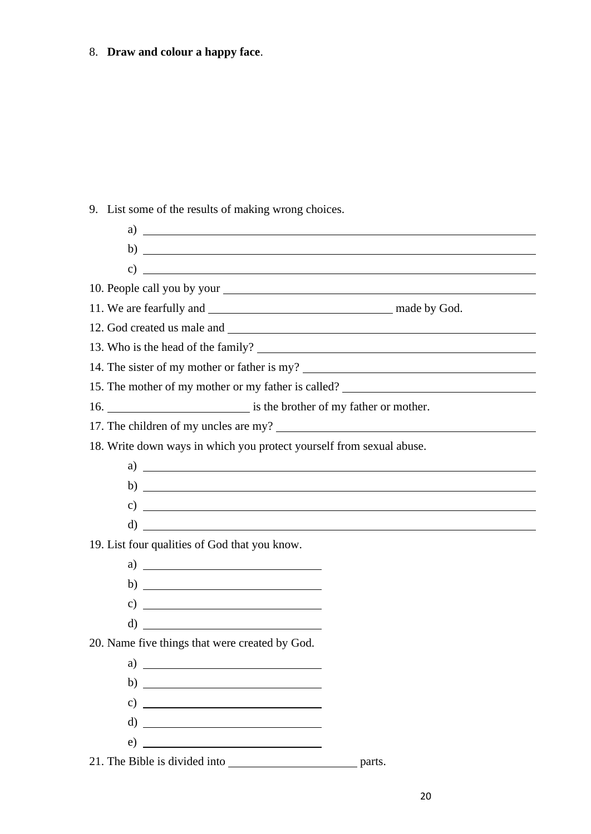# 8. **Draw and colour a happy face**.

9. List some of the results of making wrong choices.

| a)<br><u> 1989 - Andrea Barbara, amerikan personal di sebagai personal di sebagai personal di sebagai personal di seba</u>            |  |  |  |  |
|---------------------------------------------------------------------------------------------------------------------------------------|--|--|--|--|
| b)<br><u> 1989 - Johann Barbara, martin amerikan basal dan berasal dan berasal dalam basal dan berasal dan berasal dan</u>            |  |  |  |  |
| $\mathbf{c})$<br><u> 1980 - Andrea Brand, amerikansk politik (</u>                                                                    |  |  |  |  |
|                                                                                                                                       |  |  |  |  |
|                                                                                                                                       |  |  |  |  |
|                                                                                                                                       |  |  |  |  |
|                                                                                                                                       |  |  |  |  |
| 14. The sister of my mother or father is my?                                                                                          |  |  |  |  |
| 15. The mother of my mother or my father is called?                                                                                   |  |  |  |  |
| 16. is the brother of my father or mother.                                                                                            |  |  |  |  |
|                                                                                                                                       |  |  |  |  |
| 18. Write down ways in which you protect yourself from sexual abuse.                                                                  |  |  |  |  |
|                                                                                                                                       |  |  |  |  |
| $\mathbf{b}$ ) $\overline{\phantom{a}}$                                                                                               |  |  |  |  |
| c) $\qquad \qquad \overbrace{\qquad \qquad }$                                                                                         |  |  |  |  |
| $\mathbf{d}$<br><u> 1989 - Andrea Stadt Britain, amerikansk politiker (</u>                                                           |  |  |  |  |
| 19. List four qualities of God that you know.                                                                                         |  |  |  |  |
| a) $\overline{\qquad \qquad }$                                                                                                        |  |  |  |  |
|                                                                                                                                       |  |  |  |  |
| <u> Alexandria de la contrada de la contrada de la contrada de la contrada de la contrada de la contrada de la c</u><br>$\mathbf{c})$ |  |  |  |  |
| $\left( d \right)$                                                                                                                    |  |  |  |  |
| 20. Name five things that were created by God.                                                                                        |  |  |  |  |
| a)                                                                                                                                    |  |  |  |  |
| b) $\overline{\qquad \qquad }$                                                                                                        |  |  |  |  |
| c) $\overline{\qquad \qquad }$                                                                                                        |  |  |  |  |
|                                                                                                                                       |  |  |  |  |
|                                                                                                                                       |  |  |  |  |
|                                                                                                                                       |  |  |  |  |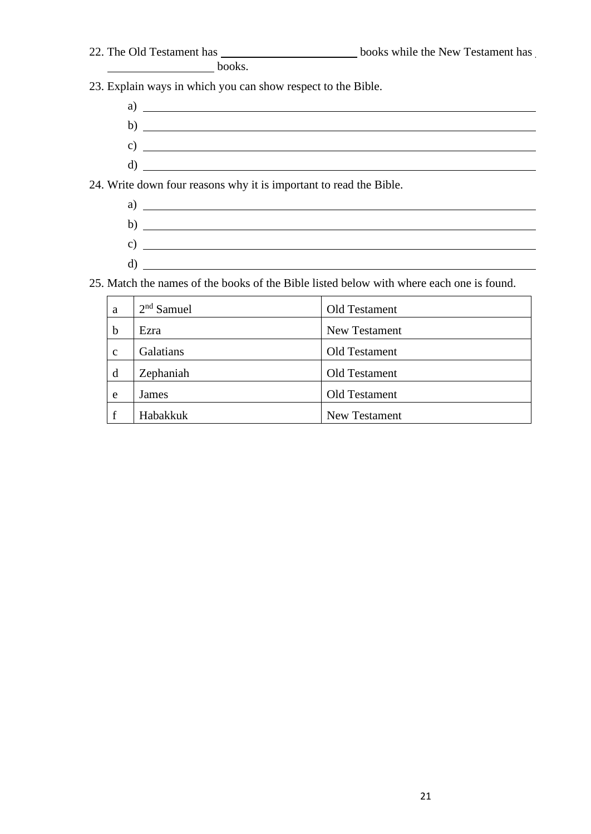| 22. The Old Testament has | books while the New Testament has |
|---------------------------|-----------------------------------|
|                           |                                   |

books.

23. Explain ways in which you can show respect to the Bible.

- a) b)
- c)  $\overline{\phantom{a}}$

d)

- 24. Write down four reasons why it is important to read the Bible.
	- a)
	- b) c)  $\overline{\phantom{a}}$
	- d)

25. Match the names of the books of the Bible listed below with where each one is found.

| a            | $2nd$ Samuel | Old Testament |
|--------------|--------------|---------------|
| $\mathbf b$  | Ezra         | New Testament |
| $\mathbf{c}$ | Galatians    | Old Testament |
| d            | Zephaniah    | Old Testament |
| e            | James        | Old Testament |
| $\mathbf f$  | Habakkuk     | New Testament |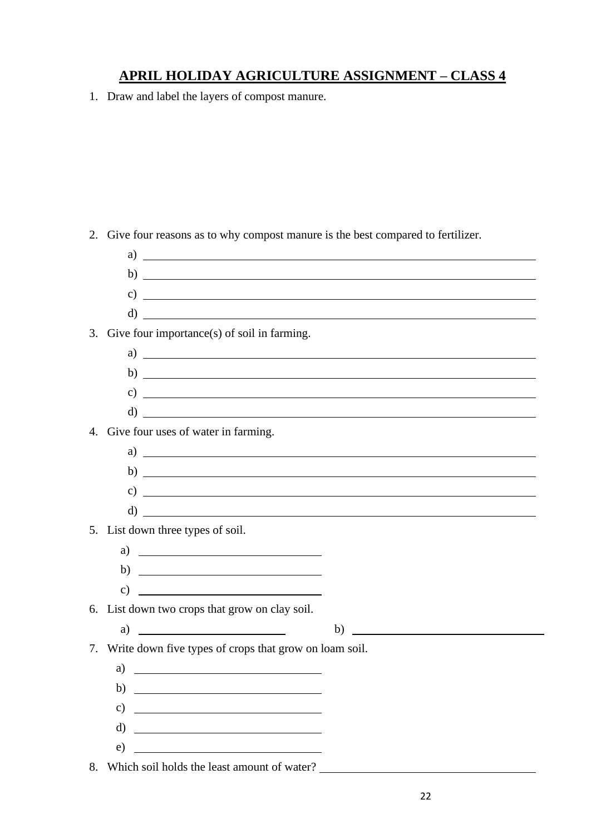# **APRIL HOLIDAY AGRICULTURE ASSIGNMENT – CLASS 4**

1. Draw and label the layers of compost manure.

| 2. | Give four reasons as to why compost manure is the best compared to fertilizer.  |
|----|---------------------------------------------------------------------------------|
|    |                                                                                 |
|    | $\mathbf{b)} \perp$                                                             |
|    | c) $\overline{\phantom{a}}$                                                     |
|    | $\left( \begin{array}{ccc} 1 & 0 \\ 0 & 1 \end{array} \right)$                  |
|    | 3. Give four importance(s) of soil in farming.                                  |
|    | a)                                                                              |
|    | $\mathbf{b) \perp}$                                                             |
|    |                                                                                 |
|    |                                                                                 |
|    | 4. Give four uses of water in farming.                                          |
|    | $a)$ $\overline{\phantom{a}}$                                                   |
|    | $\mathbf{b}$ ) $\overline{\phantom{a}}$                                         |
|    | $\left( \begin{array}{c} 0 \end{array} \right)$                                 |
|    | $\left( \begin{array}{c} 1 \end{array} \right)$                                 |
|    | 5. List down three types of soil.                                               |
|    | a) $\overline{\qquad \qquad }$                                                  |
|    | b) $\overline{\qquad \qquad }$                                                  |
|    |                                                                                 |
|    | 6. List down two crops that grow on clay soil.                                  |
|    | a) $\qquad \qquad$<br>b)<br><u> 1989 - Andrea Station Barbara, amerikan per</u> |
| 7. | Write down five types of crops that grow on loam soil.                          |
|    | a)                                                                              |
|    | b) $\overline{\qquad \qquad }$                                                  |
|    | c) $\qquad \qquad$                                                              |
|    |                                                                                 |
|    | $e)$ and $e$                                                                    |
|    | 8. Which soil holds the least amount of water?                                  |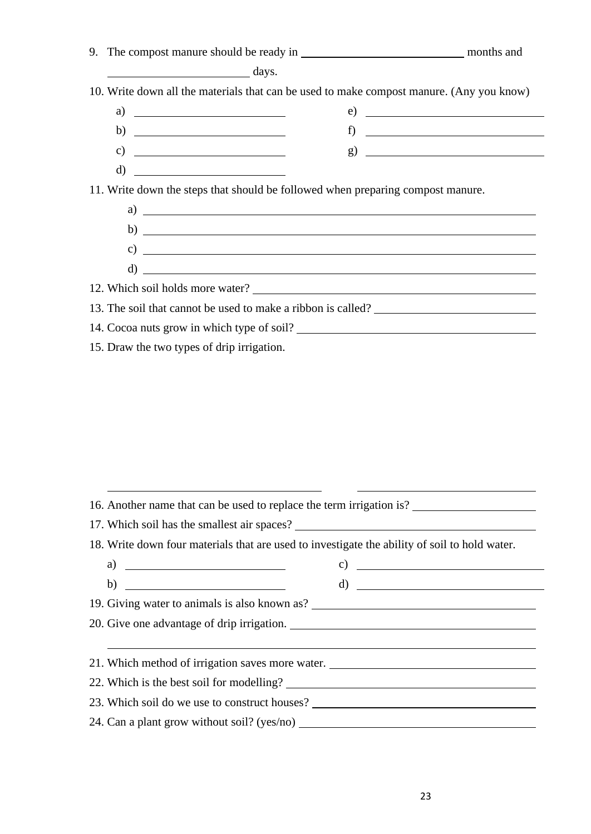| $\overline{\phantom{a}}$ days.                                                                                                                                                                                                                                                                                                                                                                                   |  |
|------------------------------------------------------------------------------------------------------------------------------------------------------------------------------------------------------------------------------------------------------------------------------------------------------------------------------------------------------------------------------------------------------------------|--|
| 10. Write down all the materials that can be used to make compost manure. (Any you know)                                                                                                                                                                                                                                                                                                                         |  |
| a) $\overline{\qquad \qquad }$                                                                                                                                                                                                                                                                                                                                                                                   |  |
| b) $\frac{1}{\sqrt{1-\frac{1}{2}}\sqrt{1-\frac{1}{2}}\sqrt{1-\frac{1}{2}}\sqrt{1-\frac{1}{2}}\sqrt{1-\frac{1}{2}}\sqrt{1-\frac{1}{2}}\sqrt{1-\frac{1}{2}}\sqrt{1-\frac{1}{2}}\sqrt{1-\frac{1}{2}}\sqrt{1-\frac{1}{2}}\sqrt{1-\frac{1}{2}}\sqrt{1-\frac{1}{2}}\sqrt{1-\frac{1}{2}}\sqrt{1-\frac{1}{2}}\sqrt{1-\frac{1}{2}}\sqrt{1-\frac{1}{2}}\sqrt{1-\frac{1}{2}}\sqrt{1-\frac{1}{2}}\sqrt{1-\frac{1}{2}}\sqrt{$ |  |
| c) $\overline{\qquad \qquad }$                                                                                                                                                                                                                                                                                                                                                                                   |  |
| $\mathbf d$ and $\mathbf d$ and $\mathbf d$ and $\mathbf d$ and $\mathbf d$ and $\mathbf d$ and $\mathbf d$ and $\mathbf d$ and $\mathbf d$ and $\mathbf d$ and $\mathbf d$ and $\mathbf d$ and $\mathbf d$ and $\mathbf d$ and $\mathbf d$ and $\mathbf d$ and $\mathbf d$ and $\mathbf d$ and $\mathbf d$ and $\mathbf d$ and                                                                                  |  |
| 11. Write down the steps that should be followed when preparing compost manure.<br>$a)$ $\overline{\phantom{a}}$                                                                                                                                                                                                                                                                                                 |  |
|                                                                                                                                                                                                                                                                                                                                                                                                                  |  |
| $c)$ $\overline{\phantom{a}}$                                                                                                                                                                                                                                                                                                                                                                                    |  |
| $d)$ $\overline{\phantom{a}}$                                                                                                                                                                                                                                                                                                                                                                                    |  |
| 12. Which soil holds more water?                                                                                                                                                                                                                                                                                                                                                                                 |  |
| 13. The soil that cannot be used to make a ribbon is called?                                                                                                                                                                                                                                                                                                                                                     |  |
| 14. Cocoa nuts grow in which type of soil?                                                                                                                                                                                                                                                                                                                                                                       |  |

15. Draw the two types of drip irrigation.

| 16. Another name that can be used to replace the term irrigation is?                          |                                |  |  |
|-----------------------------------------------------------------------------------------------|--------------------------------|--|--|
|                                                                                               |                                |  |  |
| 18. Write down four materials that are used to investigate the ability of soil to hold water. |                                |  |  |
| a) $\overline{\phantom{a}}$                                                                   | c) $\overline{\qquad \qquad }$ |  |  |
| b) $\overline{\phantom{a}}$                                                                   |                                |  |  |
| 19. Giving water to animals is also known as? __________________________________              |                                |  |  |
|                                                                                               |                                |  |  |
|                                                                                               |                                |  |  |
| 21. Which method of irrigation saves more water.                                              |                                |  |  |
|                                                                                               |                                |  |  |
| 23. Which soil do we use to construct houses?                                                 |                                |  |  |
| 24. Can a plant grow without soil? (yes/no)                                                   |                                |  |  |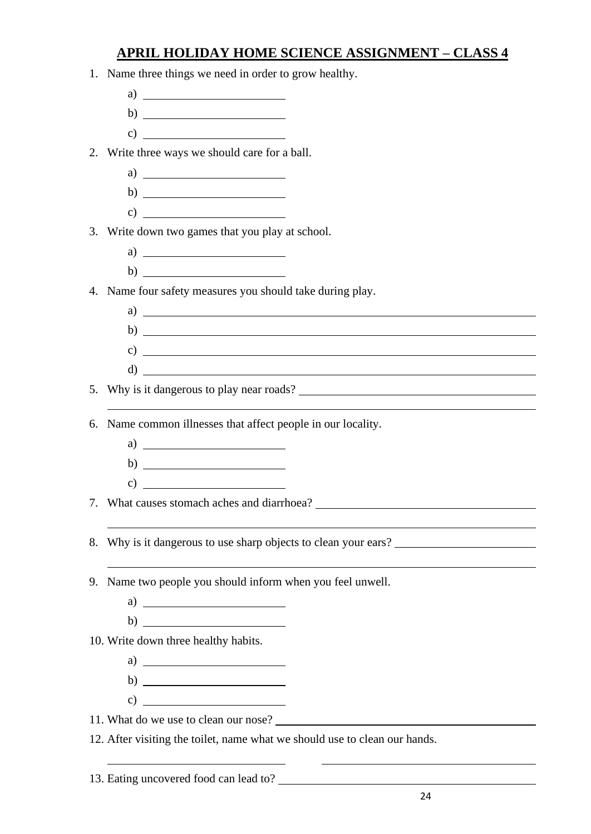# **APRIL HOLIDAY HOME SCIENCE ASSIGNMENT – CLASS 4**

|    | 1. Name three things we need in order to grow healthy.                     |
|----|----------------------------------------------------------------------------|
|    |                                                                            |
|    |                                                                            |
|    |                                                                            |
|    | 2. Write three ways we should care for a ball.                             |
|    | a) $\overline{\qquad \qquad }$                                             |
|    |                                                                            |
|    | $\mathbf{c})$                                                              |
|    | 3. Write down two games that you play at school.                           |
|    | $a) \t1$                                                                   |
|    |                                                                            |
|    | 4. Name four safety measures you should take during play.                  |
|    | $a)$ $\overline{\phantom{a}}$                                              |
|    |                                                                            |
|    | $\left( \begin{array}{c} 0 \end{array} \right)$                            |
|    |                                                                            |
| 5. | Why is it dangerous to play near roads?                                    |
|    |                                                                            |
| 6. | Name common illnesses that affect people in our locality.                  |
|    | a) $\overline{\qquad \qquad }$                                             |
|    |                                                                            |
|    |                                                                            |
|    |                                                                            |
|    |                                                                            |
| 8. | Why is it dangerous to use sharp objects to clean your ears?               |
|    |                                                                            |
| 9. | Name two people you should inform when you feel unwell.                    |
|    | a) $\overline{\qquad \qquad }$                                             |
|    |                                                                            |
|    | 10. Write down three healthy habits.                                       |
|    |                                                                            |
|    | b) $\frac{1}{\sqrt{1-\frac{1}{2}}\left(1-\frac{1}{2}\right)}$              |
|    | c) $\overline{\qquad \qquad }$                                             |
|    |                                                                            |
|    | 12. After visiting the toilet, name what we should use to clean our hands. |

13. Eating uncovered food can lead to?

 $\overline{\phantom{a}}$ 

<u> 1980 - Andrea Andrew Maria (h. 1980).</u>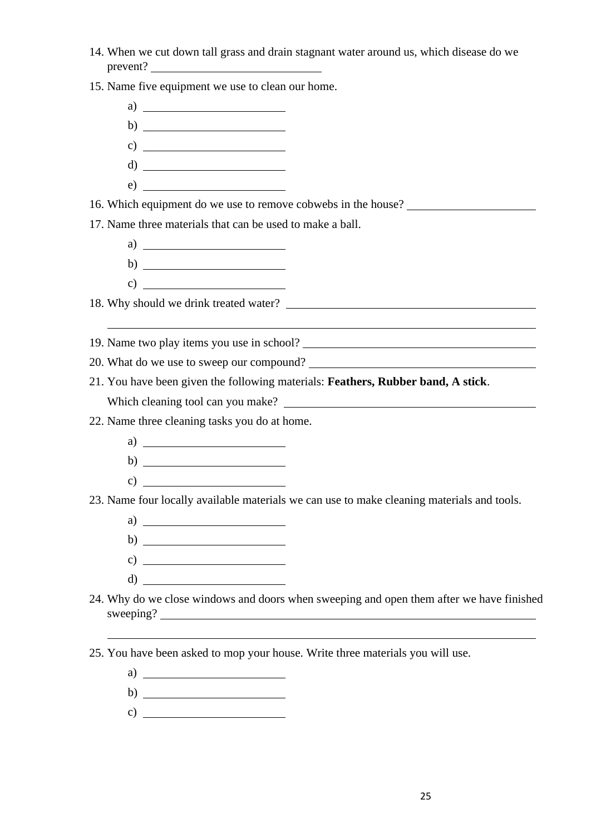14. When we cut down tall grass and drain stagnant water around us, which disease do we prevent?

15. Name five equipment we use to clean our home.

a)  $\qquad \qquad$ b) c)  $\overline{\qquad \qquad }$ d) e)

16. Which equipment do we use to remove cobwebs in the house?

17. Name three materials that can be used to make a ball.

a)  $\mathbf{b}$ )  $\qquad \qquad$ c)  $\qquad \qquad$   $\qquad \qquad$   $\qquad \qquad$   $\qquad \qquad$   $\qquad \qquad$   $\qquad \qquad$   $\qquad \qquad$   $\qquad \qquad$   $\qquad \qquad$   $\qquad \qquad$   $\qquad \qquad$   $\qquad \qquad$   $\qquad \qquad$   $\qquad \qquad$   $\qquad \qquad$   $\qquad \qquad$   $\qquad$   $\qquad$   $\qquad$   $\qquad$   $\qquad$   $\qquad$   $\qquad$   $\qquad$   $\qquad$   $\qquad$   $\qquad$   $\qquad$   $\$ 

18. Why should we drink treated water?

19. Name two play items you use in school?

- 20. What do we use to sweep our compound?
- 21. You have been given the following materials: **Feathers, Rubber band, A stick**. Which cleaning tool can you make?

22. Name three cleaning tasks you do at home.

- a)
- $\mathbf{b}$ )  $\qquad \qquad$
- c)

23. Name four locally available materials we can use to make cleaning materials and tools.

- a)  $\overline{\phantom{a}}$
- b)  $\qquad$
- c)  $\frac{1}{\sqrt{1-\frac{1}{2}}\sqrt{1-\frac{1}{2}}\sqrt{1-\frac{1}{2}}\sqrt{1-\frac{1}{2}}\sqrt{1-\frac{1}{2}}\sqrt{1-\frac{1}{2}}\sqrt{1-\frac{1}{2}}\sqrt{1-\frac{1}{2}}\sqrt{1-\frac{1}{2}}\sqrt{1-\frac{1}{2}}\sqrt{1-\frac{1}{2}}\sqrt{1-\frac{1}{2}}\sqrt{1-\frac{1}{2}}\sqrt{1-\frac{1}{2}}\sqrt{1-\frac{1}{2}}\sqrt{1-\frac{1}{2}}\sqrt{1-\frac{1}{2}}\sqrt{1-\frac{1}{2}}\sqrt{1-\frac{1}{2}}\sqrt{$
- d)
- 24. Why do we close windows and doors when sweeping and open them after we have finished sweeping?

25. You have been asked to mop your house. Write three materials you will use.

- a)
- b)
- c)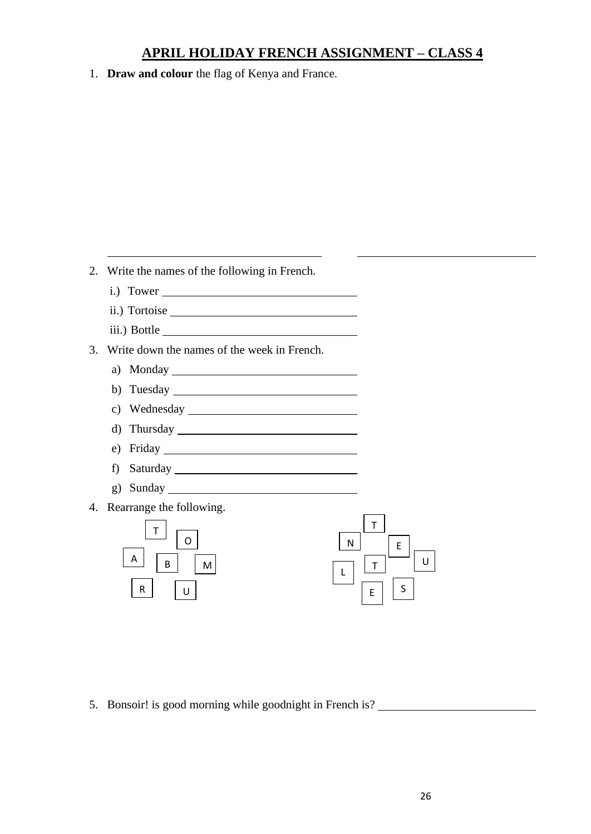## **APRIL HOLIDAY FRENCH ASSIGNMENT – CLASS 4**

1. **Draw and colour** the flag of Kenya and France.

2. Write the names of the following in French.

- i.) Tower
- ii.) Tortoise iii.) Bottle
- 3. Write down the names of the week in French.
	- a) Monday
	- b) Tuesday
	- c) Wednesday
	- d) Thursday
	- e) Friday
	- f) Saturday
	- g) Sunday
- 4. Rearrange the following.



5. Bonsoir! is good morning while goodnight in French is?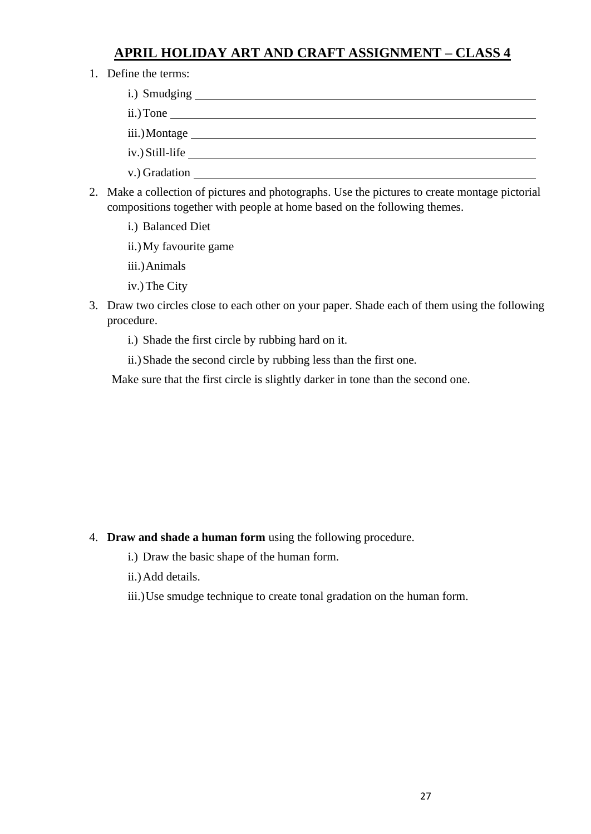## **APRIL HOLIDAY ART AND CRAFT ASSIGNMENT – CLASS 4**

1. Define the terms:

| ii.) Tone $\_\_\_\_\_\_\_\_\_\_\_$ |  |
|------------------------------------|--|
|                                    |  |
| iv.) Still-life                    |  |
| v.) Gradation __                   |  |

- 2. Make a collection of pictures and photographs. Use the pictures to create montage pictorial compositions together with people at home based on the following themes.
	- i.) Balanced Diet
	- ii.)My favourite game
	- iii.)Animals
	- iv.)The City
- 3. Draw two circles close to each other on your paper. Shade each of them using the following procedure.
	- i.) Shade the first circle by rubbing hard on it.
	- ii.)Shade the second circle by rubbing less than the first one.

Make sure that the first circle is slightly darker in tone than the second one.

- 4. **Draw and shade a human form** using the following procedure.
	- i.) Draw the basic shape of the human form.
	- ii.)Add details.
	- iii.)Use smudge technique to create tonal gradation on the human form.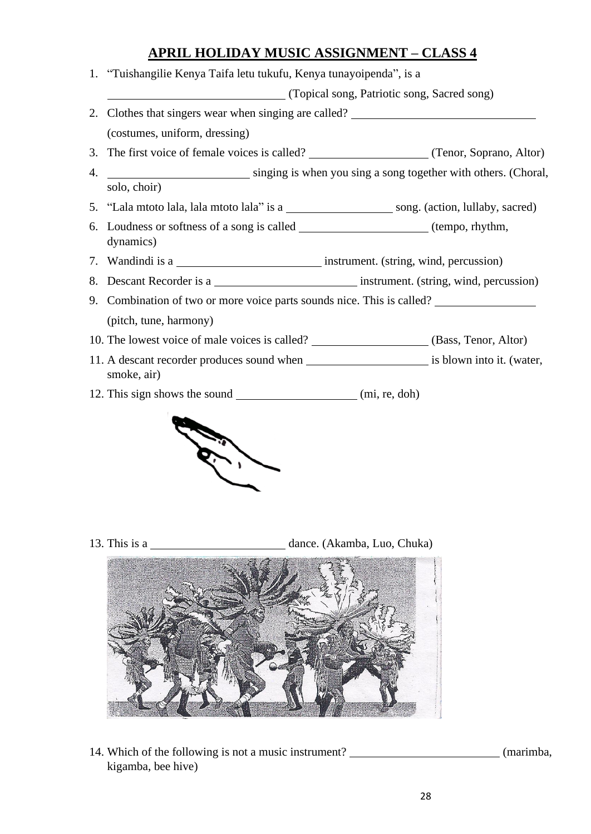## **APRIL HOLIDAY MUSIC ASSIGNMENT – CLASS 4**

1. "Tuishangilie Kenya Taifa letu tukufu, Kenya tunayoipenda", is a

(Topical song, Patriotic song, Sacred song)

- 2. Clothes that singers wear when singing are called? (costumes, uniform, dressing)
- 3. The first voice of female voices is called? (Tenor, Soprano, Altor)
- 4. singing is when you sing a song together with others. (Choral, solo, choir)
- 5. "Lala mtoto lala, lala mtoto lala" is a song. (action, lullaby, sacred)
- 6. Loudness or softness of a song is called (tempo, rhythm, dynamics)
- 7. Wandindi is a **instrument.** (string, wind, percussion)
- 8. Descant Recorder is a **instrument.** (string, wind, percussion)
- 9. Combination of two or more voice parts sounds nice. This is called? (pitch, tune, harmony)
- 10. The lowest voice of male voices is called? (Bass, Tenor, Altor)
- 11. A descant recorder produces sound when is blown into it. (water, smoke, air)
- 12. This sign shows the sound (mi, re, doh)



13. This is a dance. (Akamba, Luo, Chuka)



14. Which of the following is not a music instrument? (marimba, kigamba, bee hive)